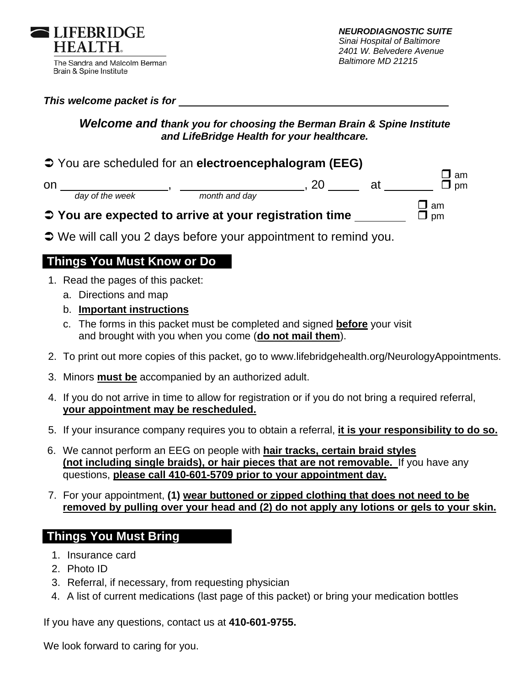

### *This welcome packet is for*

## *Welcome and thank you for choosing the Berman Brain & Spine Institute and LifeBridge Health for your healthcare.*

## You are scheduled for an **electroencephalogram (EEG)**and  $\Box$  amplitude to the contract of  $\Box$  amplitude to  $\Box$  amplitude to  $\Box$  amplitude to  $\Box$  amplitude to  $\Box$  amplitude to  $\Box$  amplitude to  $\Box$  amplitude to  $\Box$  amplitude to  $\Box$  amplitude to  $\Box$  amplitude to  $\Box$

 *day of the week month and day* 

on , , 20 at pm

- and  $\Box$  amplitude to the contract of the contract of  $\Box$  amplitude to  $\Box$  amplitude to  $\Box$  amplitude to  $\Box$ **→ You are expected to arrive at your registration time \_\_\_\_\_\_\_\_\_ □** pm
- $\supset$  We will call you 2 days before your appointment to remind you.

# **Things You Must Know or Do**

- 1. Read the pages of this packet:
	- a. Directions and map
	- b. **Important instructions**
	- c. The forms in this packet must be completed and signed **before** your visit and brought with you when you come (**do not mail them**).
- 2. To print out more copies of this packet, go to www.lifebridgehealth.org/NeurologyAppointments.
- 3. Minors **must be** accompanied by an authorized adult.
- 4. If you do not arrive in time to allow for registration or if you do not bring a required referral, **your appointment may be rescheduled.**
- 5. If your insurance company requires you to obtain a referral, **it is your responsibility to do so.**
- 6. We cannot perform an EEG on people with **hair tracks, certain braid styles (not including single braids), or hair pieces that are not removable.** If you have any questions, **please call 410-601-5709 prior to your appointment day.**
- 7. For your appointment, **(1) wear buttoned or zipped clothing that does not need to be removed by pulling over your head and (2) do not apply any lotions or gels to your skin.**

# **Things You Must Bring**

- 1. Insurance card
- 2. Photo ID
- 3. Referral, if necessary, from requesting physician
- 4. A list of current medications (last page of this packet) or bring your medication bottles

If you have any questions, contact us at **410-601-9755.** 

We look forward to caring for you.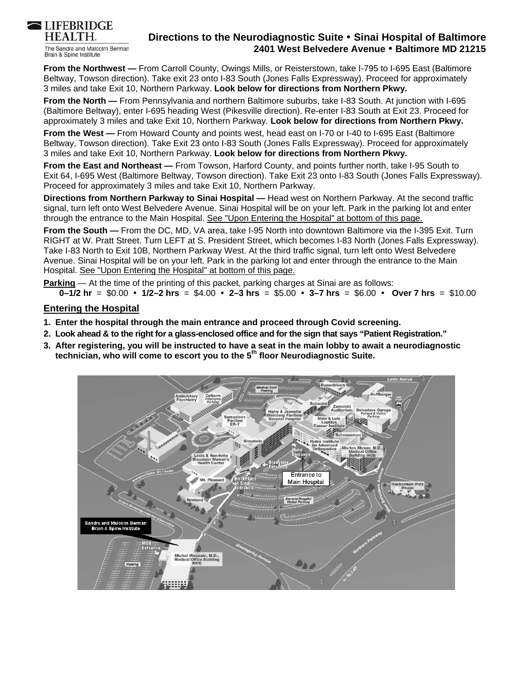

The Sandra and Malcolm Berman Brain & Spine Institute

## **Directions to the Neurodiagnostic Suite Sinai Hospital of Baltimore 2401 West Belvedere Avenue Baltimore MD 21215**

**From the Northwest —** From Carroll County, Owings Mills, or Reisterstown, take I-795 to I-695 East (Baltimore Beltway, Towson direction). Take exit 23 onto I-83 South (Jones Falls Expressway). Proceed for approximately 3 miles and take Exit 10, Northern Parkway. **Look below for directions from Northern Pkwy.**

**From the North —** From Pennsylvania and northern Baltimore suburbs, take I-83 South. At junction with I-695 (Baltimore Beltway), enter I-695 heading West (Pikesville direction). Re-enter I-83 South at Exit 23. Proceed for approximately 3 miles and take Exit 10, Northern Parkway. **Look below for directions from Northern Pkwy.**

**From the West —** From Howard County and points west, head east on I-70 or I-40 to I-695 East (Baltimore Beltway, Towson direction). Take Exit 23 onto I-83 South (Jones Falls Expressway). Proceed for approximately 3 miles and take Exit 10, Northern Parkway. **Look below for directions from Northern Pkwy.**

**From the East and Northeast —** From Towson, Harford County, and points further north, take I-95 South to Exit 64, I-695 West (Baltimore Beltway, Towson direction). Take Exit 23 onto I-83 South (Jones Falls Expressway). Proceed for approximately 3 miles and take Exit 10, Northern Parkway.

**Directions from Northern Parkway to Sinai Hospital —** Head west on Northern Parkway. At the second traffic signal, turn left onto West Belvedere Avenue. Sinai Hospital will be on your left. Park in the parking lot and enter through the entrance to the Main Hospital. See "Upon Entering the Hospital" at bottom of this page.

**From the South —** From the DC, MD, VA area, take I-95 North into downtown Baltimore via the I-395 Exit. Turn RIGHT at W. Pratt Street. Turn LEFT at S. President Street, which becomes I-83 North (Jones Falls Expressway). Take I-83 North to Exit 10B, Northern Parkway West. At the third traffic signal, turn left onto West Belvedere Avenue. Sinai Hospital will be on your left. Park in the parking lot and enter through the entrance to the Main Hospital. See "Upon Entering the Hospital" at bottom of this page.

**Parking** — At the time of the printing of this packet, parking charges at Sinai are as follows:

 **0–1/2 hr** = \$0.00 **1/2–2 hrs** = \$4.00 **2–3 hrs** = \$5.00 **3–7 hrs** = \$6.00 **Over 7 hrs** = \$10.00

#### **Entering the Hospital**

- **1. Enter the hospital through the main entrance and proceed through Covid screening.**
- **2. Look ahead & to the right for a glass-enclosed office and for the sign that says "Patient Registration."**
- **3. After registering, you will be instructed to have a seat in the main lobby to await a neurodiagnostic technician, who will come to escort you to the 5th floor Neurodiagnostic Suite.**

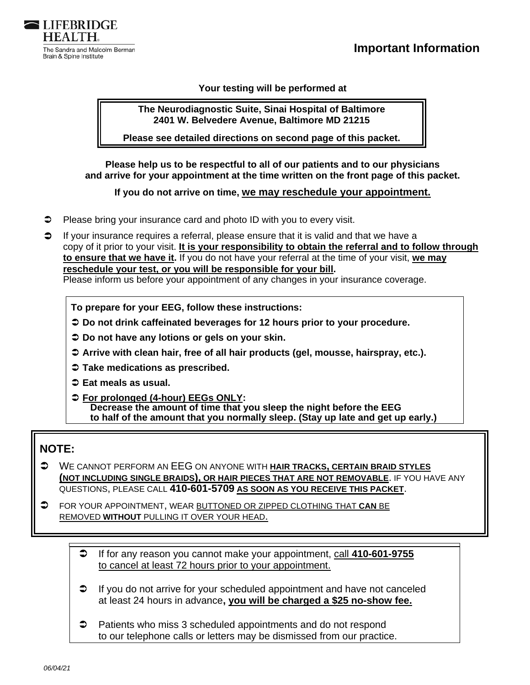



**Your testing will be performed at** 

**The Neurodiagnostic Suite, Sinai Hospital of Baltimore 2401 W. Belvedere Avenue, Baltimore MD 21215** 

**Please see detailed directions on second page of this packet.** 

**Please help us to be respectful to all of our patients and to our physicians and arrive for your appointment at the time written on the front page of this packet.** 

**If you do not arrive on time, we may reschedule your appointment.**

- $\supset$  Please bring your insurance card and photo ID with you to every visit.
- $\Box$  If your insurance requires a referral, please ensure that it is valid and that we have a copy of it prior to your visit. **It is your responsibility to obtain the referral and to follow through to ensure that we have it.** If you do not have your referral at the time of your visit, **we may reschedule your test, or you will be responsible for your bill.**  Please inform us before your appointment of any changes in your insurance coverage.

**To prepare for your EEG, follow these instructions:** 

- **Do not drink caffeinated beverages for 12 hours prior to your procedure.**
- **Do not have any lotions or gels on your skin.**
- **Arrive with clean hair, free of all hair products (gel, mousse, hairspray, etc.).**
- **Take medications as prescribed.**
- **Eat meals as usual.**
- **For prolonged (4-hour) EEGs ONLY: Decrease the amount of time that you sleep the night before the EEG to half of the amount that you normally sleep. (Stay up late and get up early.)**

# **NOTE:**

 WE CANNOT PERFORM AN EEG ON ANYONE WITH **HAIR TRACKS, CERTAIN BRAID STYLES (NOT INCLUDING SINGLE BRAIDS), OR HAIR PIECES THAT ARE NOT REMOVABLE**. IF YOU HAVE ANY QUESTIONS, PLEASE CALL **410-601-5709 AS SOON AS YOU RECEIVE THIS PACKET**.

 FOR YOUR APPOINTMENT, WEAR BUTTONED OR ZIPPED CLOTHING THAT **CAN** BE REMOVED **WITHOUT** PULLING IT OVER YOUR HEAD.

- If for any reason you cannot make your appointment, call **410-601-9755** to cancel at least 72 hours prior to your appointment.
- **■** If you do not arrive for your scheduled appointment and have not canceled at least 24 hours in advance**, you will be charged a \$25 no-show fee.**
- **→** Patients who miss 3 scheduled appointments and do not respond to our telephone calls or letters may be dismissed from our practice.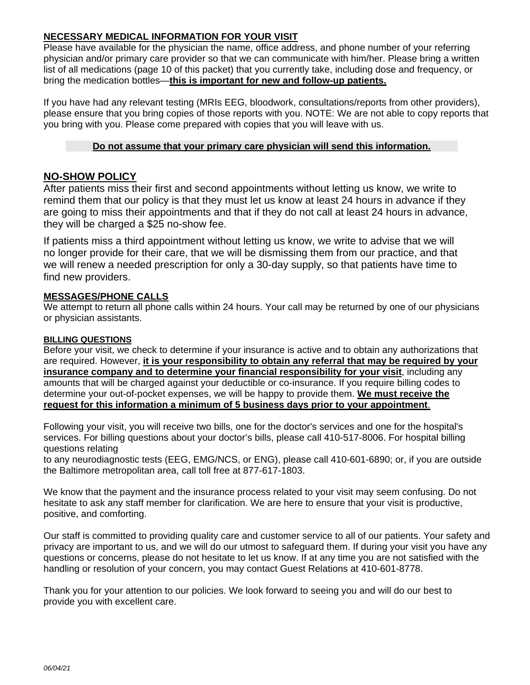### **NECESSARY MEDICAL INFORMATION FOR YOUR VISIT**

Please have available for the physician the name, office address, and phone number of your referring physician and/or primary care provider so that we can communicate with him/her. Please bring a written list of all medications (page 10 of this packet) that you currently take, including dose and frequency, or bring the medication bottles—**this is important for new and follow-up patients.** 

If you have had any relevant testing (MRIs EEG, bloodwork, consultations/reports from other providers), please ensure that you bring copies of those reports with you. NOTE: We are not able to copy reports that you bring with you. Please come prepared with copies that you will leave with us.

#### **Do not assume that your primary care physician will send this information.**

### **NO-SHOW POLICY**

After patients miss their first and second appointments without letting us know, we write to remind them that our policy is that they must let us know at least 24 hours in advance if they are going to miss their appointments and that if they do not call at least 24 hours in advance, they will be charged a \$25 no-show fee.

If patients miss a third appointment without letting us know, we write to advise that we will no longer provide for their care, that we will be dismissing them from our practice, and that we will renew a needed prescription for only a 30-day supply, so that patients have time to find new providers.

### **MESSAGES/PHONE CALLS**

We attempt to return all phone calls within 24 hours. Your call may be returned by one of our physicians or physician assistants.

#### **BILLING QUESTIONS**

Before your visit, we check to determine if your insurance is active and to obtain any authorizations that are required. However, **it is your responsibility to obtain any referral that may be required by your insurance company and to determine your financial responsibility for your visit**, including any amounts that will be charged against your deductible or co-insurance. If you require billing codes to determine your out-of-pocket expenses, we will be happy to provide them. **We must receive the request for this information a minimum of 5 business days prior to your appointment**.

Following your visit, you will receive two bills, one for the doctor's services and one for the hospital's services. For billing questions about your doctor's bills, please call 410-517-8006. For hospital billing questions relating

to any neurodiagnostic tests (EEG, EMG/NCS, or ENG), please call 410-601-6890; or, if you are outside the Baltimore metropolitan area, call toll free at 877-617-1803.

We know that the payment and the insurance process related to your visit may seem confusing. Do not hesitate to ask any staff member for clarification. We are here to ensure that your visit is productive, positive, and comforting.

Our staff is committed to providing quality care and customer service to all of our patients. Your safety and privacy are important to us, and we will do our utmost to safeguard them. If during your visit you have any questions or concerns, please do not hesitate to let us know. If at any time you are not satisfied with the handling or resolution of your concern, you may contact Guest Relations at 410-601-8778.

Thank you for your attention to our policies. We look forward to seeing you and will do our best to provide you with excellent care.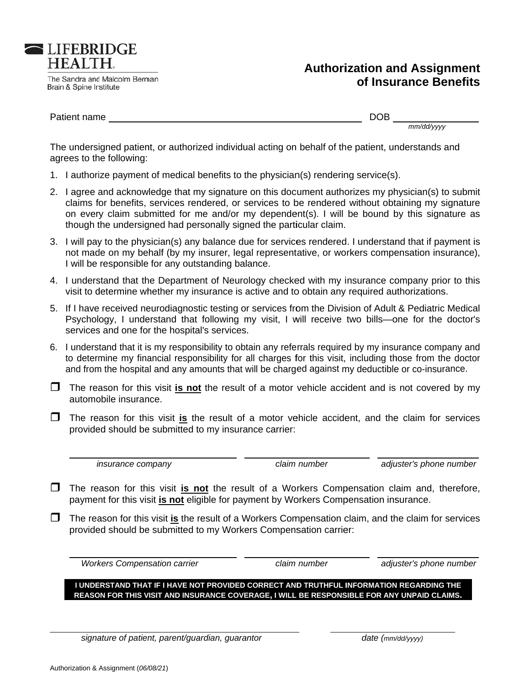

The Sandra and Malcolm Berman Brain & Spine Institute

# **Authorization and Assignment of Insu rance Be enefits**

Patient nam me

DOB

*mm/dd/yyyy y*

The undersigned patient, or authorized individual acting on behalf of the patient, understands and agrees to the following:

- 1. I authorize payment of medical benefits to the physician(s) rendering service(s).
- 2. I agree and acknowledge that my signature on this document authorizes my physician(s) to submit claims for benefits, services rendered, or services to be rendered without obtaining my signature on every claim submitted for me and/or my dependent(s). I will be bound by this signature as though the undersigned had personally signed the particular claim.
- 3. I will pay to the physician(s) any balance due for services rendered. I understand that if payment is not made on my behalf (by my insurer, legal representative, or workers compensation insurance), I will be responsible for any outstanding balance.
- 4. I understand that the Department of Neurology checked with my insurance company prior to this visit to determine whether my insurance is active and to obtain any required authorizations.
- 5. If I have received neurodiagnostic testing or services from the Division of Adult & Pediatric Medical Psychology, I understand that following my visit, I will receive two bills—one for the doctor's services and one for the hospital's services.
- services and one for the hospital's services.<br>6. I understand that it is my responsibility to obtain any referrals required by my insurance company and to determine my financial responsibility for all charges for this visit, including those from the doctor and from the hospital and any amounts that will be charged against my deductible or co-insurance.
- The reason for this visit *is not* the result of a motor vehicle accident and is not covered by my automobile insurance.
- **T** The reason for this visit is the result of a motor vehicle accident, and the claim for services provided should be submitted to my insurance carrier:

 *in nsurance com mpany*

*claim number*

adjuster's phone number

- **T** The reason for this visit *is not* the result of a Workers Compensation claim and, therefore, payment for this visit *is not* eligible for payment by Workers Compensation insurance.
- The reason for this visit *is* the result of a Workers Compensation claim, and the claim for services provided should be submitted to my Workers Compensation carrier:

*<i>Workers Compensation carrier* 

*claim number*

adjuster's phone number

**I UNDERSTAND THAT IF I HAVE NOT PROVIDED CORRECT AND TRUTHFUL INFORMATION REGARDING THE REASON FOR THIS VISIT AND INSURANCE COVERAGE, I WILL BE RESPONSIBLE FOR ANY UNPAID CLAIMS.** 

*signature of patient, parent/guardian, guarantor* 

date (mm/dd/yyyy)

 $\overline{a}$ 

 $\overline{a}$ 

 $\overline{\phantom{a}}$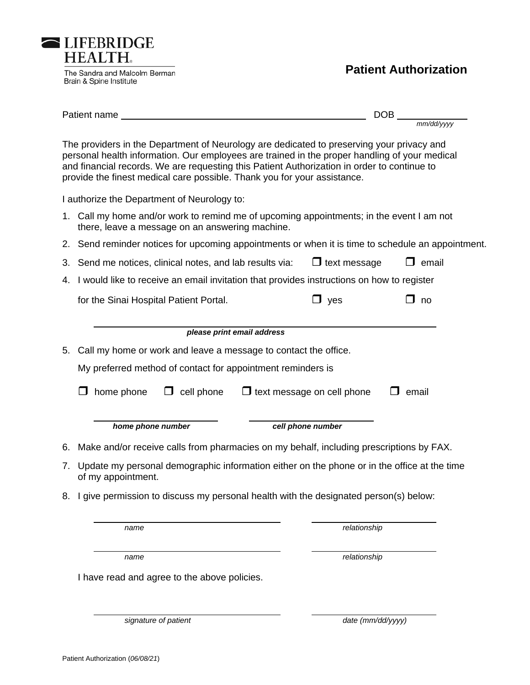

|                                              | Patient name                                                                                                                                                                                                                                                                                                                                                          | DOB                 |              |  |  |  |  |
|----------------------------------------------|-----------------------------------------------------------------------------------------------------------------------------------------------------------------------------------------------------------------------------------------------------------------------------------------------------------------------------------------------------------------------|---------------------|--------------|--|--|--|--|
|                                              |                                                                                                                                                                                                                                                                                                                                                                       |                     | mm/dd/yyyy   |  |  |  |  |
|                                              | The providers in the Department of Neurology are dedicated to preserving your privacy and<br>personal health information. Our employees are trained in the proper handling of your medical<br>and financial records. We are requesting this Patient Authorization in order to continue to<br>provide the finest medical care possible. Thank you for your assistance. |                     |              |  |  |  |  |
|                                              | I authorize the Department of Neurology to:                                                                                                                                                                                                                                                                                                                           |                     |              |  |  |  |  |
|                                              | 1. Call my home and/or work to remind me of upcoming appointments; in the event I am not<br>there, leave a message on an answering machine.                                                                                                                                                                                                                           |                     |              |  |  |  |  |
|                                              | 2. Send reminder notices for upcoming appointments or when it is time to schedule an appointment.                                                                                                                                                                                                                                                                     |                     |              |  |  |  |  |
|                                              | 3. Send me notices, clinical notes, and lab results via:                                                                                                                                                                                                                                                                                                              | $\Box$ text message | email        |  |  |  |  |
|                                              | 4. I would like to receive an email invitation that provides instructions on how to register                                                                                                                                                                                                                                                                          |                     |              |  |  |  |  |
|                                              | for the Sinai Hospital Patient Portal.                                                                                                                                                                                                                                                                                                                                | $\Box$ yes          | $\square$ no |  |  |  |  |
|                                              |                                                                                                                                                                                                                                                                                                                                                                       |                     |              |  |  |  |  |
|                                              | please print email address                                                                                                                                                                                                                                                                                                                                            |                     |              |  |  |  |  |
|                                              | 5. Call my home or work and leave a message to contact the office.                                                                                                                                                                                                                                                                                                    |                     |              |  |  |  |  |
|                                              | My preferred method of contact for appointment reminders is                                                                                                                                                                                                                                                                                                           |                     |              |  |  |  |  |
|                                              | $\Box$ text message on cell phone<br>home phone<br>cell phone<br>email                                                                                                                                                                                                                                                                                                |                     |              |  |  |  |  |
|                                              | home phone number                                                                                                                                                                                                                                                                                                                                                     | cell phone number   |              |  |  |  |  |
|                                              | 6. Make and/or receive calls from pharmacies on my behalf, including prescriptions by FAX.                                                                                                                                                                                                                                                                            |                     |              |  |  |  |  |
|                                              | 7. Update my personal demographic information either on the phone or in the office at the time<br>of my appointment.                                                                                                                                                                                                                                                  |                     |              |  |  |  |  |
| 8.                                           | I give permission to discuss my personal health with the designated person(s) below:                                                                                                                                                                                                                                                                                  |                     |              |  |  |  |  |
|                                              | name                                                                                                                                                                                                                                                                                                                                                                  | relationship        |              |  |  |  |  |
|                                              | name                                                                                                                                                                                                                                                                                                                                                                  | relationship        |              |  |  |  |  |
| I have read and agree to the above policies. |                                                                                                                                                                                                                                                                                                                                                                       |                     |              |  |  |  |  |
|                                              | signature of patient                                                                                                                                                                                                                                                                                                                                                  | date (mm/dd/yyyy)   |              |  |  |  |  |

LIFEBRIDGE<br>HEALTH.

Brain & Spine Institute

The Sandra and Malcolm Berman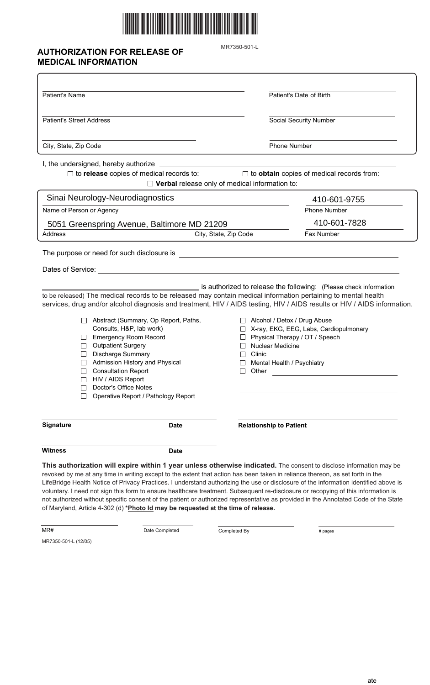

## **AUTHORIZATION FOR RELEASE OF MEDICAL INFORMATION**

MR7350-501-L

| <b>Patient's Name</b>                                                                                                                                                                                                                                                                                                                                                                                                                                           | Patient's Date of Birth                                                                                                                                                                                                                                                                                                                                                                         |  |  |  |
|-----------------------------------------------------------------------------------------------------------------------------------------------------------------------------------------------------------------------------------------------------------------------------------------------------------------------------------------------------------------------------------------------------------------------------------------------------------------|-------------------------------------------------------------------------------------------------------------------------------------------------------------------------------------------------------------------------------------------------------------------------------------------------------------------------------------------------------------------------------------------------|--|--|--|
| <b>Patient's Street Address</b>                                                                                                                                                                                                                                                                                                                                                                                                                                 | Social Security Number                                                                                                                                                                                                                                                                                                                                                                          |  |  |  |
| City, State, Zip Code                                                                                                                                                                                                                                                                                                                                                                                                                                           | Phone Number                                                                                                                                                                                                                                                                                                                                                                                    |  |  |  |
|                                                                                                                                                                                                                                                                                                                                                                                                                                                                 |                                                                                                                                                                                                                                                                                                                                                                                                 |  |  |  |
| $\Box$ to release copies of medical records to:                                                                                                                                                                                                                                                                                                                                                                                                                 | $\Box$ to obtain copies of medical records from:<br>$\Box$ Verbal release only of medical information to:                                                                                                                                                                                                                                                                                       |  |  |  |
| Sinai Neurology-Neurodiagnostics                                                                                                                                                                                                                                                                                                                                                                                                                                | 410-601-9755                                                                                                                                                                                                                                                                                                                                                                                    |  |  |  |
| Name of Person or Agency                                                                                                                                                                                                                                                                                                                                                                                                                                        | <b>Phone Number</b>                                                                                                                                                                                                                                                                                                                                                                             |  |  |  |
| 5051 Greenspring Avenue, Baltimore MD 21209                                                                                                                                                                                                                                                                                                                                                                                                                     | 410-601-7828                                                                                                                                                                                                                                                                                                                                                                                    |  |  |  |
| <b>Address</b>                                                                                                                                                                                                                                                                                                                                                                                                                                                  | Fax Number<br>City, State, Zip Code                                                                                                                                                                                                                                                                                                                                                             |  |  |  |
| The purpose or need for such disclosure is                                                                                                                                                                                                                                                                                                                                                                                                                      | <u> 1980 - Johann Barbara, martin amerikan basal da</u>                                                                                                                                                                                                                                                                                                                                         |  |  |  |
| Dates of Service: <u>contract the contract of the contract of the contract of the contract of the contract of the contract of the contract of the contract of the contract of the contract of the contract of the contract of th</u>                                                                                                                                                                                                                            |                                                                                                                                                                                                                                                                                                                                                                                                 |  |  |  |
| is authorized to release the following: (Please check information<br>to be released) The medical records to be released may contain medical information pertaining to mental health<br>services, drug and/or alcohol diagnosis and treatment, HIV / AIDS testing, HIV / AIDS results or HIV / AIDS information.<br>Abstract (Summary, Op Report, Paths,<br>□ Alcohol / Detox / Drug Abuse<br>Consults, H&P, lab work)<br>X-ray, EKG, EEG, Labs, Cardiopulmonary |                                                                                                                                                                                                                                                                                                                                                                                                 |  |  |  |
| <b>Emergency Room Record</b><br><b>Outpatient Surgery</b>                                                                                                                                                                                                                                                                                                                                                                                                       | Physical Therapy / OT / Speech<br>Nuclear Medicine                                                                                                                                                                                                                                                                                                                                              |  |  |  |
| <b>Discharge Summary</b>                                                                                                                                                                                                                                                                                                                                                                                                                                        | Clinic                                                                                                                                                                                                                                                                                                                                                                                          |  |  |  |
| Admission History and Physical<br><b>Consultation Report</b><br>HIV / AIDS Report<br>Doctor's Office Notes                                                                                                                                                                                                                                                                                                                                                      | Mental Health / Psychiatry<br>Other                                                                                                                                                                                                                                                                                                                                                             |  |  |  |
| Operative Report / Pathology Report                                                                                                                                                                                                                                                                                                                                                                                                                             |                                                                                                                                                                                                                                                                                                                                                                                                 |  |  |  |
| Signature<br><b>Date</b>                                                                                                                                                                                                                                                                                                                                                                                                                                        | <b>Relationship to Patient</b>                                                                                                                                                                                                                                                                                                                                                                  |  |  |  |
| <b>Witness</b><br>Date                                                                                                                                                                                                                                                                                                                                                                                                                                          |                                                                                                                                                                                                                                                                                                                                                                                                 |  |  |  |
| revoked by me at any time in writing except to the extent that action has been taken in reliance thereon, as set forth in the                                                                                                                                                                                                                                                                                                                                   | This authorization will expire within 1 year unless otherwise indicated. The consent to disclose information may be<br>LifeBridge Health Notice of Privacy Practices. I understand authorizing the use or disclosure of the information identified above is<br>voluntary I need not sign this form to ensure healthcare treatment. Subsequent re-disclosure or reconving of this information is |  |  |  |

voluntary. I need not sign this form to ensure healthcare treatment. Subsequent re-disclosure or recopying of this information is not authorized without specific consent of the patient or authorized representative as provided in the Annotated Code of the State of Maryland, Article 4-302 (d) **\*Photo Id may be requested at the time of release.**